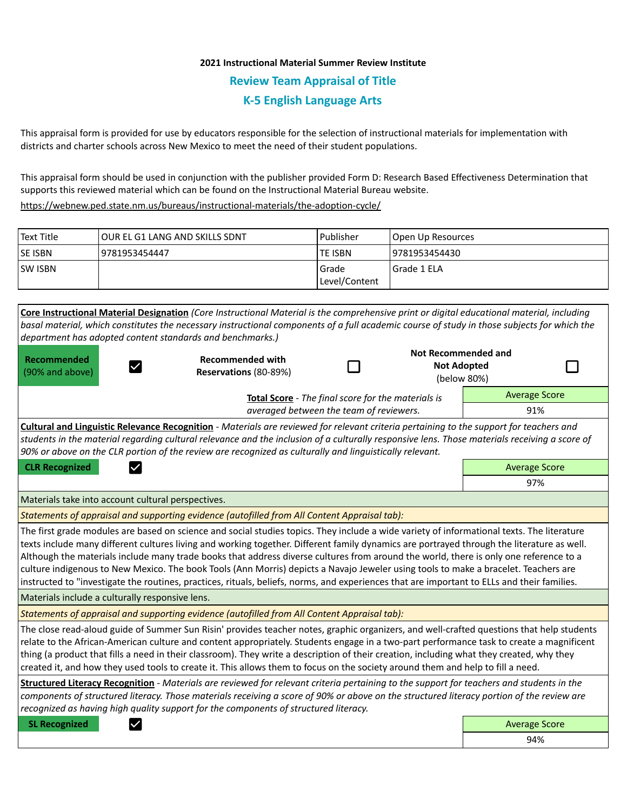## **2021 Instructional Material Summer Review Institute Review Team Appraisal of Title K-5 English Language Arts**

This appraisal form is provided for use by educators responsible for the selection of instructional materials for implementation with districts and charter schools across New Mexico to meet the need of their student populations.

This appraisal form should be used in conjunction with the publisher provided Form D: Research Based Effectiveness Determination that supports this reviewed material which can be found on the Instructional Material Bureau website.

<https://webnew.ped.state.nm.us/bureaus/instructional-materials/the-adoption-cycle/>

| Text Title     | lOUR EL G1 LANG AND SKILLS SDNT | Publisher              | Open Up Resources |
|----------------|---------------------------------|------------------------|-------------------|
| <b>SE ISBN</b> | 9781953454447                   | lte ISBN               | 19781953454430    |
| <b>SW ISBN</b> |                                 | Grade<br>Level/Content | Grade 1 ELA       |

**Core Instructional Material Designation** *(Core Instructional Material is the comprehensive print or digital educational material, including basal material, which constitutes the necessary instructional components of a full academic course of study in those subjects for which the department has adopted content standards and benchmarks.)* **Not Recommended and Recommended Recommended with**  П П **Not Adopted**   $\checkmark$ (90% and above) **Reservations** (80-89%) (below 80%) Average Score **Total Score** - *The final score for the materials is averaged between the team of reviewers.* 91% **Cultural and Linguistic Relevance Recognition** - *Materials are reviewed for relevant criteria pertaining to the support for teachers and students in the material regarding cultural relevance and the inclusion of a culturally responsive lens. Those materials receiving a score of 90% or above on the CLR portion of the review are recognized as culturally and linguistically relevant.* **CLR Recognized Average Score Average Score Average Score Average Score Average Score** 97% Materials take into account cultural perspectives. *Statements of appraisal and supporting evidence (autofilled from All Content Appraisal tab):*  The first grade modules are based on science and social studies topics. They include a wide variety of informational texts. The literature texts include many different cultures living and working together. Different family dynamics are portrayed through the literature as well. Although the materials include many trade books that address diverse cultures from around the world, there is only one reference to a culture indigenous to New Mexico. The book Tools (Ann Morris) depicts a Navajo Jeweler using tools to make a bracelet. Teachers are instructed to "investigate the routines, practices, rituals, beliefs, norms, and experiences that are important to ELLs and their families. Materials include a culturally responsive lens. *Statements of appraisal and supporting evidence (autofilled from All Content Appraisal tab):*  The close read-aloud guide of Summer Sun Risin' provides teacher notes, graphic organizers, and well-crafted questions that help students relate to the African-American culture and content appropriately. Students engage in a two-part performance task to create a magnificent thing (a product that fills a need in their classroom). They write a description of their creation, including what they created, why they created it, and how they used tools to create it. This allows them to focus on the society around them and help to fill a need. **Structured Literacy Recognition** - *Materials are reviewed for relevant criteria pertaining to the support for teachers and students in the components of structured literacy. Those materials receiving a score of 90% or above on the structured literacy portion of the review are recognized as having high quality support for the components of structured literacy.* **SL Recognized Average Score** Average Score and Average Score and Average Score and Average Score and Average Score

94%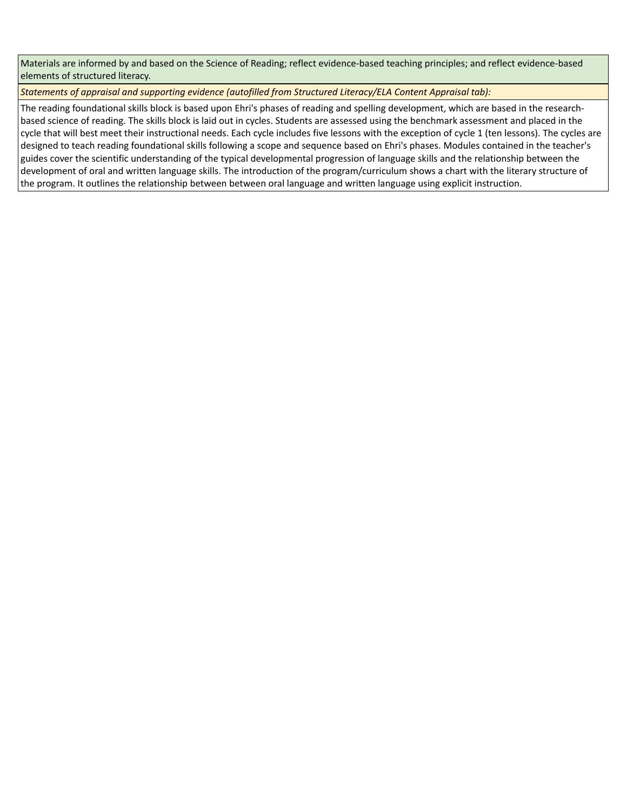Materials are informed by and based on the Science of Reading; reflect evidence-based teaching principles; and reflect evidence-based elements of structured literacy.

*Statements of appraisal and supporting evidence (autofilled from Structured Literacy/ELA Content Appraisal tab):* 

The reading foundational skills block is based upon Ehri's phases of reading and spelling development, which are based in the researchbased science of reading. The skills block is laid out in cycles. Students are assessed using the benchmark assessment and placed in the cycle that will best meet their instructional needs. Each cycle includes five lessons with the exception of cycle 1 (ten lessons). The cycles are designed to teach reading foundational skills following a scope and sequence based on Ehri's phases. Modules contained in the teacher's guides cover the scientific understanding of the typical developmental progression of language skills and the relationship between the development of oral and written language skills. The introduction of the program/curriculum shows a chart with the literary structure of the program. It outlines the relationship between between oral language and written language using explicit instruction.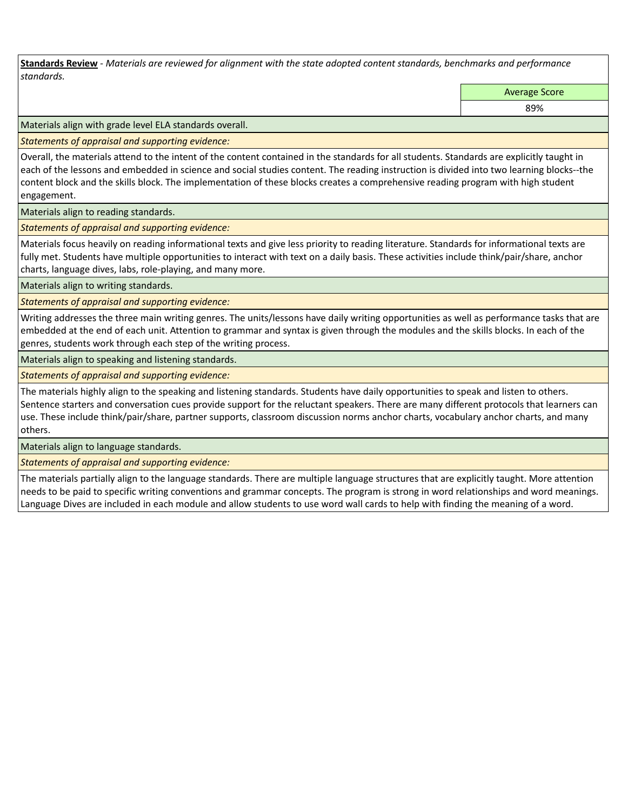**Standards Review** *- Materials are reviewed for alignment with the state adopted content standards, benchmarks and performance standards.*

Average Score

89%

Materials align with grade level ELA standards overall.

*Statements of appraisal and supporting evidence:* 

Overall, the materials attend to the intent of the content contained in the standards for all students. Standards are explicitly taught in each of the lessons and embedded in science and social studies content. The reading instruction is divided into two learning blocks--the content block and the skills block. The implementation of these blocks creates a comprehensive reading program with high student engagement.

Materials align to reading standards.

*Statements of appraisal and supporting evidence:* 

Materials focus heavily on reading informational texts and give less priority to reading literature. Standards for informational texts are fully met. Students have multiple opportunities to interact with text on a daily basis. These activities include think/pair/share, anchor charts, language dives, labs, role-playing, and many more.

Materials align to writing standards.

*Statements of appraisal and supporting evidence:* 

Writing addresses the three main writing genres. The units/lessons have daily writing opportunities as well as performance tasks that are embedded at the end of each unit. Attention to grammar and syntax is given through the modules and the skills blocks. In each of the genres, students work through each step of the writing process.

Materials align to speaking and listening standards.

*Statements of appraisal and supporting evidence:* 

The materials highly align to the speaking and listening standards. Students have daily opportunities to speak and listen to others. Sentence starters and conversation cues provide support for the reluctant speakers. There are many different protocols that learners can use. These include think/pair/share, partner supports, classroom discussion norms anchor charts, vocabulary anchor charts, and many others.

Materials align to language standards.

*Statements of appraisal and supporting evidence:* 

The materials partially align to the language standards. There are multiple language structures that are explicitly taught. More attention needs to be paid to specific writing conventions and grammar concepts. The program is strong in word relationships and word meanings. Language Dives are included in each module and allow students to use word wall cards to help with finding the meaning of a word.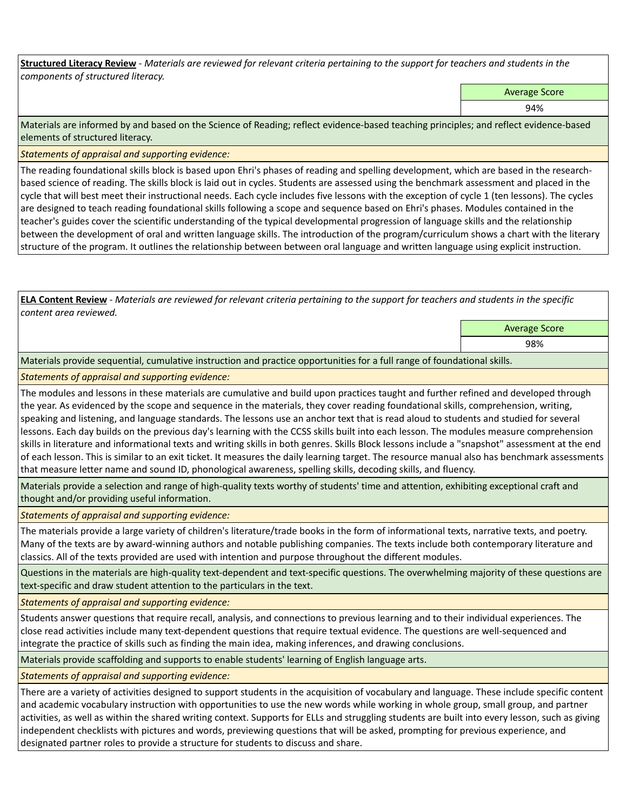**Structured Literacy Review** *- Materials are reviewed for relevant criteria pertaining to the support for teachers and students in the components of structured literacy.*

Average Score

94%

Materials are informed by and based on the Science of Reading; reflect evidence-based teaching principles; and reflect evidence-based elements of structured literacy.

*Statements of appraisal and supporting evidence:*

The reading foundational skills block is based upon Ehri's phases of reading and spelling development, which are based in the researchbased science of reading. The skills block is laid out in cycles. Students are assessed using the benchmark assessment and placed in the cycle that will best meet their instructional needs. Each cycle includes five lessons with the exception of cycle 1 (ten lessons). The cycles are designed to teach reading foundational skills following a scope and sequence based on Ehri's phases. Modules contained in the teacher's guides cover the scientific understanding of the typical developmental progression of language skills and the relationship between the development of oral and written language skills. The introduction of the program/curriculum shows a chart with the literary structure of the program. It outlines the relationship between between oral language and written language using explicit instruction.

**ELA Content Review** *- Materials are reviewed for relevant criteria pertaining to the support for teachers and students in the specific content area reviewed.*

Average Score

98%

Materials provide sequential, cumulative instruction and practice opportunities for a full range of foundational skills.

*Statements of appraisal and supporting evidence:* 

The modules and lessons in these materials are cumulative and build upon practices taught and further refined and developed through the year. As evidenced by the scope and sequence in the materials, they cover reading foundational skills, comprehension, writing, speaking and listening, and language standards. The lessons use an anchor text that is read aloud to students and studied for several lessons. Each day builds on the previous day's learning with the CCSS skills built into each lesson. The modules measure comprehension skills in literature and informational texts and writing skills in both genres. Skills Block lessons include a "snapshot" assessment at the end of each lesson. This is similar to an exit ticket. It measures the daily learning target. The resource manual also has benchmark assessments that measure letter name and sound ID, phonological awareness, spelling skills, decoding skills, and fluency.

Materials provide a selection and range of high-quality texts worthy of students' time and attention, exhibiting exceptional craft and thought and/or providing useful information.

*Statements of appraisal and supporting evidence:* 

The materials provide a large variety of children's literature/trade books in the form of informational texts, narrative texts, and poetry. Many of the texts are by award-winning authors and notable publishing companies. The texts include both contemporary literature and classics. All of the texts provided are used with intention and purpose throughout the different modules.

Questions in the materials are high-quality text-dependent and text-specific questions. The overwhelming majority of these questions are text-specific and draw student attention to the particulars in the text.

*Statements of appraisal and supporting evidence:* 

Students answer questions that require recall, analysis, and connections to previous learning and to their individual experiences. The close read activities include many text-dependent questions that require textual evidence. The questions are well-sequenced and integrate the practice of skills such as finding the main idea, making inferences, and drawing conclusions.

Materials provide scaffolding and supports to enable students' learning of English language arts.

*Statements of appraisal and supporting evidence:* 

There are a variety of activities designed to support students in the acquisition of vocabulary and language. These include specific content and academic vocabulary instruction with opportunities to use the new words while working in whole group, small group, and partner activities, as well as within the shared writing context. Supports for ELLs and struggling students are built into every lesson, such as giving independent checklists with pictures and words, previewing questions that will be asked, prompting for previous experience, and designated partner roles to provide a structure for students to discuss and share.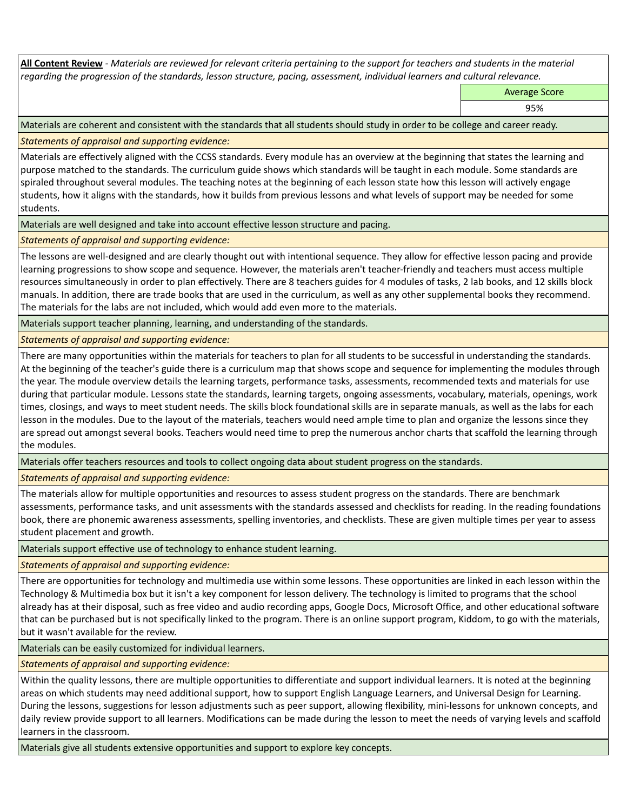**All Content Review** *- Materials are reviewed for relevant criteria pertaining to the support for teachers and students in the material regarding the progression of the standards, lesson structure, pacing, assessment, individual learners and cultural relevance.*

Average Score

95%

Materials are coherent and consistent with the standards that all students should study in order to be college and career ready.

*Statements of appraisal and supporting evidence:*

Materials are effectively aligned with the CCSS standards. Every module has an overview at the beginning that states the learning and purpose matched to the standards. The curriculum guide shows which standards will be taught in each module. Some standards are spiraled throughout several modules. The teaching notes at the beginning of each lesson state how this lesson will actively engage students, how it aligns with the standards, how it builds from previous lessons and what levels of support may be needed for some students.

Materials are well designed and take into account effective lesson structure and pacing.

*Statements of appraisal and supporting evidence:*

The lessons are well-designed and are clearly thought out with intentional sequence. They allow for effective lesson pacing and provide learning progressions to show scope and sequence. However, the materials aren't teacher-friendly and teachers must access multiple resources simultaneously in order to plan effectively. There are 8 teachers guides for 4 modules of tasks, 2 lab books, and 12 skills block manuals. In addition, there are trade books that are used in the curriculum, as well as any other supplemental books they recommend. The materials for the labs are not included, which would add even more to the materials.

Materials support teacher planning, learning, and understanding of the standards.

*Statements of appraisal and supporting evidence:*

There are many opportunities within the materials for teachers to plan for all students to be successful in understanding the standards. At the beginning of the teacher's guide there is a curriculum map that shows scope and sequence for implementing the modules through the year. The module overview details the learning targets, performance tasks, assessments, recommended texts and materials for use during that particular module. Lessons state the standards, learning targets, ongoing assessments, vocabulary, materials, openings, work times, closings, and ways to meet student needs. The skills block foundational skills are in separate manuals, as well as the labs for each lesson in the modules. Due to the layout of the materials, teachers would need ample time to plan and organize the lessons since they are spread out amongst several books. Teachers would need time to prep the numerous anchor charts that scaffold the learning through the modules.

Materials offer teachers resources and tools to collect ongoing data about student progress on the standards.

*Statements of appraisal and supporting evidence:*

The materials allow for multiple opportunities and resources to assess student progress on the standards. There are benchmark assessments, performance tasks, and unit assessments with the standards assessed and checklists for reading. In the reading foundations book, there are phonemic awareness assessments, spelling inventories, and checklists. These are given multiple times per year to assess student placement and growth.

Materials support effective use of technology to enhance student learning.

*Statements of appraisal and supporting evidence:*

There are opportunities for technology and multimedia use within some lessons. These opportunities are linked in each lesson within the Technology & Multimedia box but it isn't a key component for lesson delivery. The technology is limited to programs that the school already has at their disposal, such as free video and audio recording apps, Google Docs, Microsoft Office, and other educational software that can be purchased but is not specifically linked to the program. There is an online support program, Kiddom, to go with the materials, but it wasn't available for the review.

Materials can be easily customized for individual learners.

*Statements of appraisal and supporting evidence:* 

Within the quality lessons, there are multiple opportunities to differentiate and support individual learners. It is noted at the beginning areas on which students may need additional support, how to support English Language Learners, and Universal Design for Learning. During the lessons, suggestions for lesson adjustments such as peer support, allowing flexibility, mini-lessons for unknown concepts, and daily review provide support to all learners. Modifications can be made during the lesson to meet the needs of varying levels and scaffold learners in the classroom.

Materials give all students extensive opportunities and support to explore key concepts.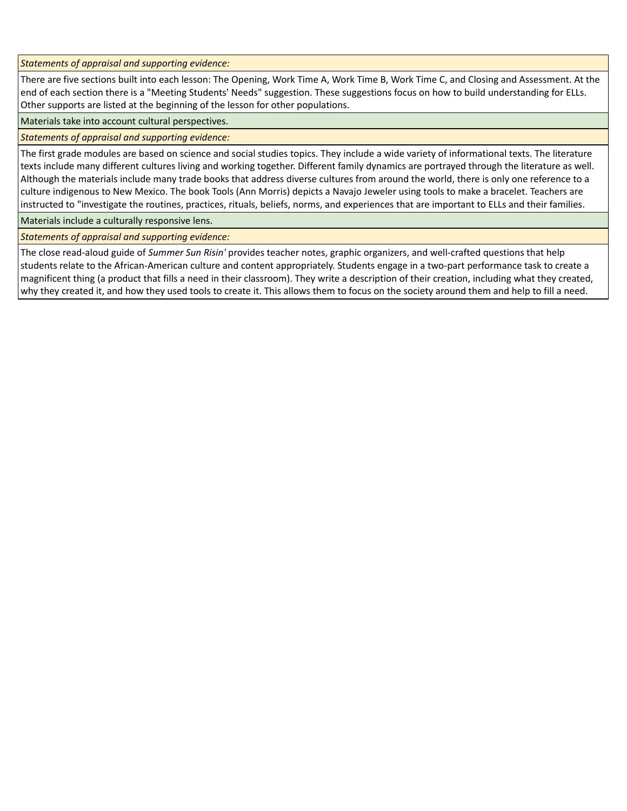*Statements of appraisal and supporting evidence:*

There are five sections built into each lesson: The Opening, Work Time A, Work Time B, Work Time C, and Closing and Assessment. At the end of each section there is a "Meeting Students' Needs" suggestion. These suggestions focus on how to build understanding for ELLs. Other supports are listed at the beginning of the lesson for other populations.

Materials take into account cultural perspectives.

*Statements of appraisal and supporting evidence:*

The first grade modules are based on science and social studies topics. They include a wide variety of informational texts. The literature texts include many different cultures living and working together. Different family dynamics are portrayed through the literature as well. Although the materials include many trade books that address diverse cultures from around the world, there is only one reference to a culture indigenous to New Mexico. The book Tools (Ann Morris) depicts a Navajo Jeweler using tools to make a bracelet. Teachers are instructed to "investigate the routines, practices, rituals, beliefs, norms, and experiences that are important to ELLs and their families.

Materials include a culturally responsive lens.

*Statements of appraisal and supporting evidence:*

The close read-aloud guide of *Summer Sun Risin'* provides teacher notes, graphic organizers, and well-crafted questions that help students relate to the African-American culture and content appropriately. Students engage in a two-part performance task to create a magnificent thing (a product that fills a need in their classroom). They write a description of their creation, including what they created, why they created it, and how they used tools to create it. This allows them to focus on the society around them and help to fill a need.